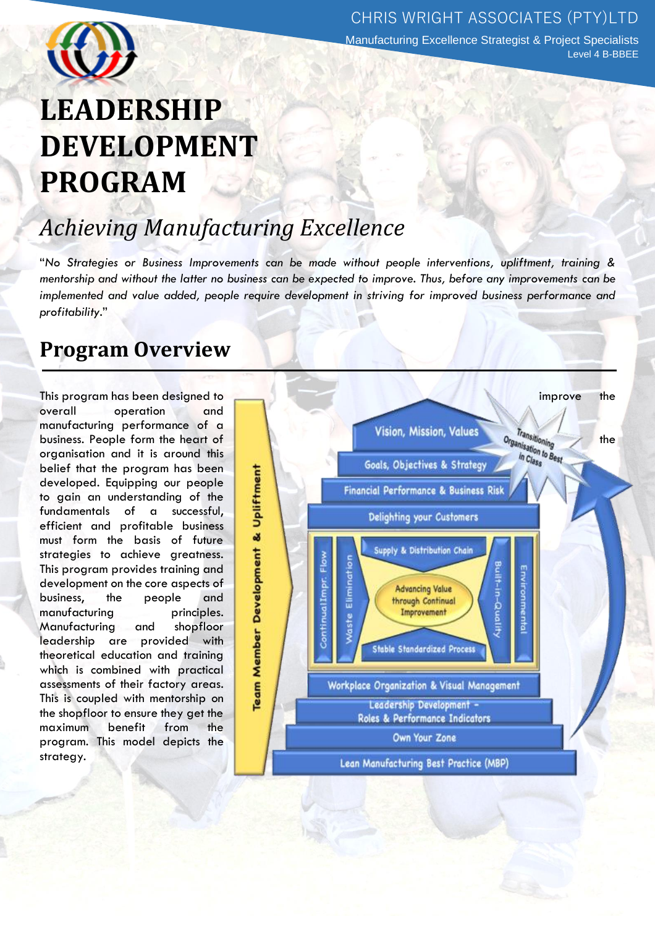

**Manufacturing Excellence Strategist & Project Specialists** Level 4 B-BBEE

# **LEADERSHIP DEVELOPMENT PROGRAM**

## *Achieving Manufacturing Excellence*

"*No Strategies or Business Improvements can be made without people interventions, upliftment, training & mentorship and without the latter no business can be expected to improve. Thus, before any improvements can be implemented and value added, people require development in striving for improved business performance and profitability*."

## **Program Overview**

overall operation and manufacturing performance of a organisation and it is around this belief that the program has been developed. Equipping our people to gain an understanding of the fundamentals of a successful, efficient and profitable business must form the basis of future strategies to achieve greatness. This program provides training and development on the core aspects of business, the people and manufacturing principles. Manufacturing and shopfloor leadership are provided with theoretical education and training which is combined with practical assessments of their factory areas. This is coupled with mentorship on the shopfloor to ensure they get the maximum benefit from the program. This model depicts the strategy.

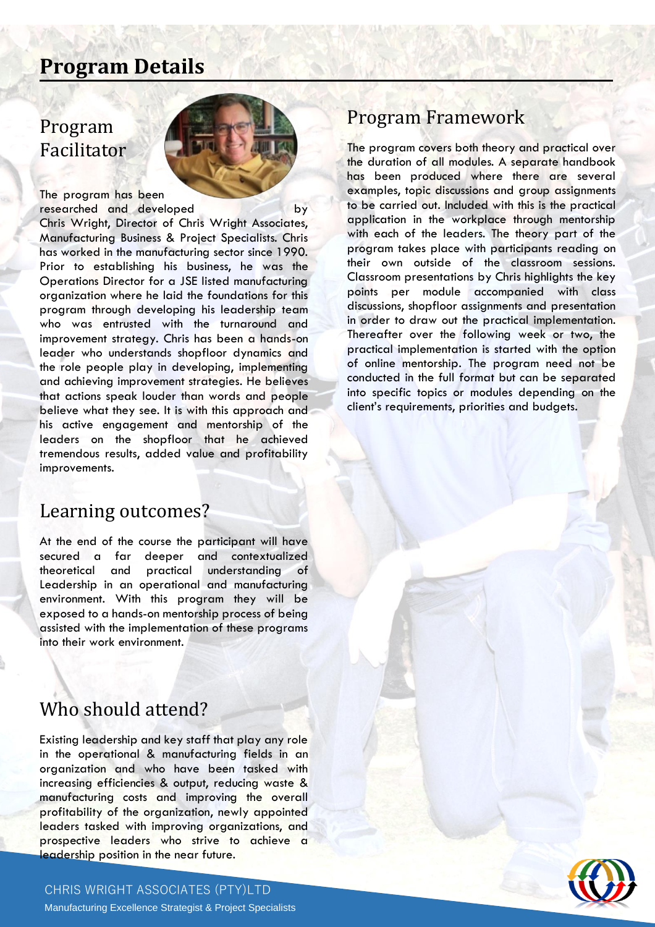## **Program Details**

### Program Facilitator



The program has been researched and developed by

Chris Wright, Director of Chris Wright Associates, Manufacturing Business & Project Specialists. Chris has worked in the manufacturing sector since 1990. Prior to establishing his business, he was the Operations Director for a JSE listed manufacturing organization where he laid the foundations for this program through developing his leadership team who was entrusted with the turnaround and improvement strategy. Chris has been a hands-on leader who understands shopfloor dynamics and the role people play in developing, implementing and achieving improvement strategies. He believes that actions speak louder than words and people believe what they see. It is with this approach and his active engagement and mentorship of the leaders on the shopfloor that he achieved tremendous results, added value and profitability improvements.

#### Learning outcomes?

At the end of the course the participant will have secured a far deeper and contextualized theoretical and practical understanding of Leadership in an operational and manufacturing environment. With this program they will be exposed to a hands-on mentorship process of being assisted with the implementation of these programs into their work environment.

## Who should attend?

Existing leadership and key staff that play any role in the operational & manufacturing fields in an organization and who have been tasked with increasing efficiencies & output, reducing waste & manufacturing costs and improving the overall profitability of the organization, newly appointed leaders tasked with improving organizations, and prospective leaders who strive to achieve a leadership position in the near future.

#### CHRIS WRIGHT ASSOCIATES (PTY)LTD Manufacturing Excellence Strategist & Project Specialists

## Program Framework

The program covers both theory and practical over the duration of all modules. A separate handbook has been produced where there are several examples, topic discussions and group assignments to be carried out. Included with this is the practical application in the workplace through mentorship with each of the leaders. The theory part of the program takes place with participants reading on their own outside of the classroom sessions. Classroom presentations by Chris highlights the key points per module accompanied with class discussions, shopfloor assignments and presentation in order to draw out the practical implementation. Thereafter over the following week or two, the practical implementation is started with the option of online mentorship. The program need not be conducted in the full format but can be separated into specific topics or modules depending on the client's requirements, priorities and budgets.

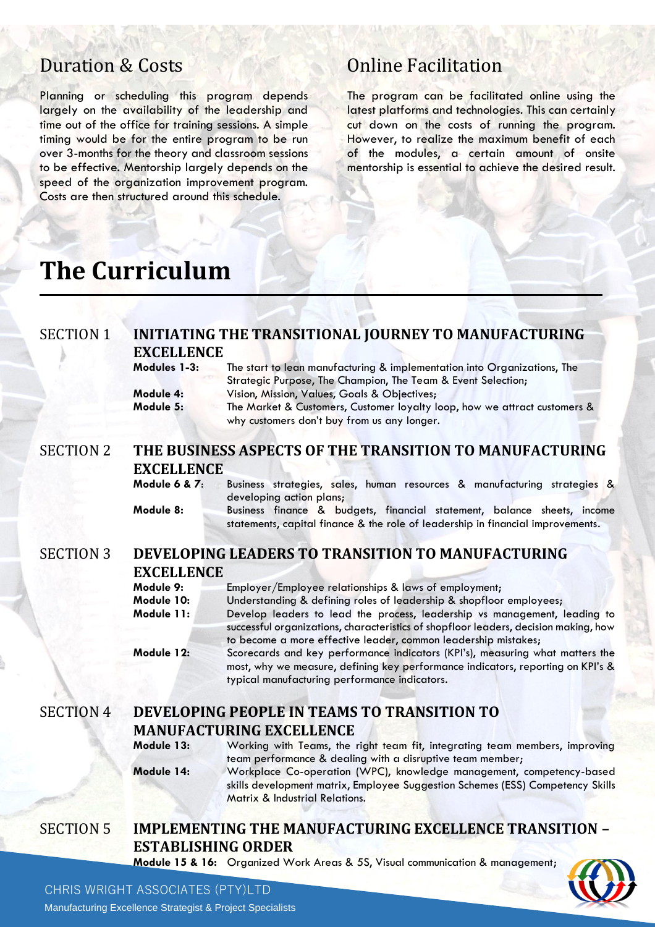### Duration & Costs

Planning or scheduling this program depends largely on the availability of the leadership and time out of the office for training sessions. A simple timing would be for the entire program to be run over 3-months for the theory and classroom sessions to be effective. Mentorship largely depends on the speed of the organization improvement program. Costs are then structured around this schedule.

#### Online Facilitation

The program can be facilitated online using the latest platforms and technologies. This can certainly cut down on the costs of running the program. However, to realize the maximum benefit of each of the modules, a certain amount of onsite mentorship is essential to achieve the desired result.

## **The Curriculum**

#### SECTION 1 **INITIATING THE TRANSITIONAL JOURNEY TO MANUFACTURING EXCELLENCE**

| Modules 1-3: | The start to lean manufacturing & implementation into Organizations, The  |  |  |
|--------------|---------------------------------------------------------------------------|--|--|
|              | Strategic Purpose, The Champion, The Team & Event Selection;              |  |  |
| Module 4:    | Vision, Mission, Values, Goals & Objectives;                              |  |  |
| Module 5:    | The Market & Customers, Customer loyalty loop, how we attract customers & |  |  |
|              | why customers don't buy from us any longer.                               |  |  |

#### SECTION 2 **THE BUSINESS ASPECTS OF THE TRANSITION TO MANUFACTURING EXCELLENCE**

**Module 6 & 7**: Business strategies, sales, human resources & manufacturing strategies & developing action plans;

**Module 8:** Business finance & budgets, financial statement, balance sheets, income statements, capital finance & the role of leadership in financial improvements.

#### SECTION 3 **DEVELOPING LEADERS TO TRANSITION TO MANUFACTURING EXCELLENCE**

| Module 9:  | Employer/Employee relationships & laws of employment;                                |  |  |
|------------|--------------------------------------------------------------------------------------|--|--|
| Module 10: | Understanding & defining roles of leadership & shopfloor employees;                  |  |  |
| Module 11: | Develop leaders to lead the process, leadership vs management, leading to            |  |  |
|            | successful organizations, characteristics of shopfloor leaders, decision making, how |  |  |
|            | to become a more effective leader, common leadership mistakes;                       |  |  |
| Module 12: | Scorecards and key performance indicators (KPI's), measuring what matters the        |  |  |
|            | most, why we measure, defining key performance indicators, reporting on KPI's &      |  |  |
|            | typical manufacturing performance indicators.                                        |  |  |

#### SECTION 4 **DEVELOPING PEOPLE IN TEAMS TO TRANSITION TO MANUFACTURING EXCELLENCE**

**Module 13:** Working with Teams, the right team fit, integrating team members, improving team performance & dealing with a disruptive team member; **Module 14:** Workplace Co-operation (WPC), knowledge management, competency-based skills development matrix, Employee Suggestion Schemes (ESS) Competency Skills Matrix & Industrial Relations.

#### SECTION 5 **IMPLEMENTING THE MANUFACTURING EXCELLENCE TRANSITION – ESTABLISHING ORDER**

**Module 15 & 16:** Organized Work Areas & 5S, Visual communication & management;



#### CHRIS WRIGHT ASSOCIATES (PTY)LTD

Manufacturing Excellence Strategist & Project Specialists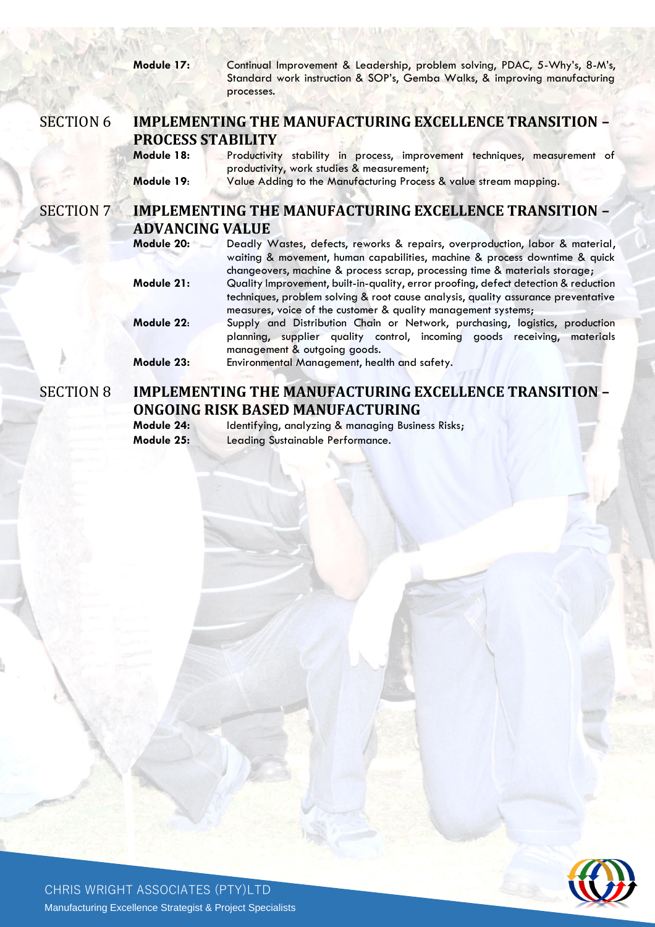|                  | Module 17:                                                                              | Continual Improvement & Leadership, problem solving, PDAC, 5-Why's, 8-M's,<br>Standard work instruction & SOP's, Gemba Walks, & improving manufacturing<br>processes.                                                                     |  |  |
|------------------|-----------------------------------------------------------------------------------------|-------------------------------------------------------------------------------------------------------------------------------------------------------------------------------------------------------------------------------------------|--|--|
| <b>SECTION 6</b> |                                                                                         | <b>IMPLEMENTING THE MANUFACTURING EXCELLENCE TRANSITION -</b>                                                                                                                                                                             |  |  |
|                  | <b>PROCESS STABILITY</b>                                                                |                                                                                                                                                                                                                                           |  |  |
|                  | Module 18:                                                                              | Productivity stability in process, improvement techniques, measurement of<br>productivity, work studies & measurement;                                                                                                                    |  |  |
|                  | Module 19:                                                                              | Value Adding to the Manufacturing Process & value stream mapping.                                                                                                                                                                         |  |  |
| <b>SECTION 7</b> | <b>IMPLEMENTING THE MANUFACTURING EXCELLENCE TRANSITION -</b><br><b>ADVANCING VALUE</b> |                                                                                                                                                                                                                                           |  |  |
|                  | Module 20:                                                                              | Deadly Wastes, defects, reworks & repairs, overproduction, labor & material,<br>waiting & movement, human capabilities, machine & process downtime & quick<br>changeovers, machine & process scrap, processing time & materials storage;  |  |  |
|                  | Module 21:                                                                              | Quality Improvement, built-in-quality, error proofing, defect detection & reduction<br>techniques, problem solving & root cause analysis, quality assurance preventative<br>measures, voice of the customer & quality management systems; |  |  |
|                  | Module 22:                                                                              | Supply and Distribution Chain or Network, purchasing, logistics, production<br>planning, supplier quality control, incoming goods receiving, materials<br>management & outgoing goods.                                                    |  |  |
|                  | Module 23:                                                                              | Environmental Management, health and safety.                                                                                                                                                                                              |  |  |
| <b>SECTION 8</b> | <b>IMPLEMENTING THE MANUFACTURING EXCELLENCE TRANSITION -</b>                           |                                                                                                                                                                                                                                           |  |  |

**ONGOING RISK BASED MANUFACTURING**<br>Module 24: Identifying, analyzing & managing Busine

Identifying, analyzing & managing Business Risks; **Module 25:** Leading Sustainable Performance.